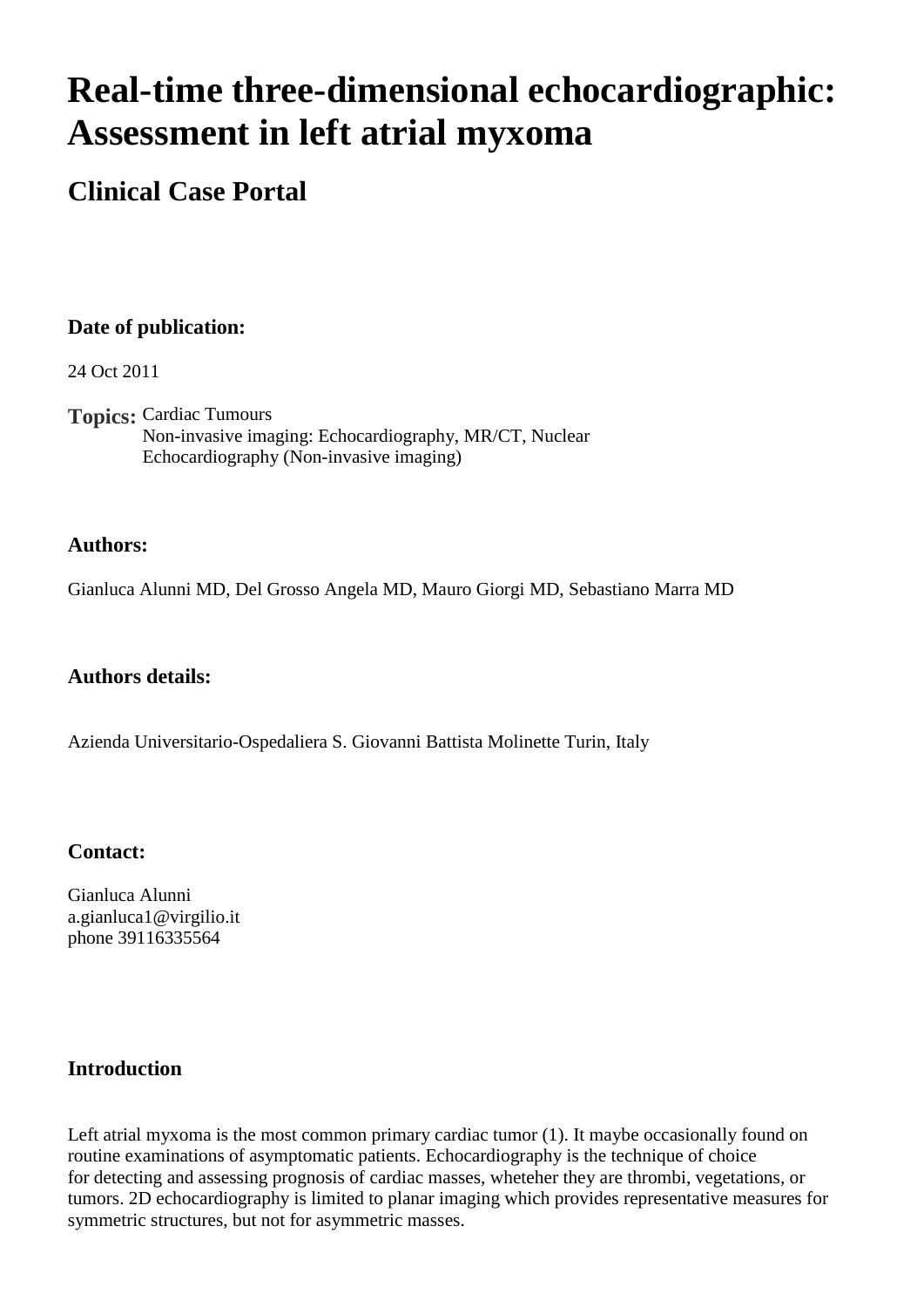# **Real-time three-dimensional echocardiographic: Assessment in left atrial myxoma**

# **Clinical Case Portal**

# **Date of publication:**

24 Oct 2011

**Topics:** Cardiac Tumours Non-invasive imaging: Echocardiography, MR/CT, Nuclear Echocardiography (Non-invasive imaging)

#### **Authors:**

Gianluca Alunni MD, Del Grosso Angela MD, Mauro Giorgi MD, Sebastiano Marra MD

#### **Authors details:**

Azienda Universitario-Ospedaliera S. Giovanni Battista Molinette Turin, Italy

#### **Contact:**

Gianluca Alunni a.gianluca1@virgilio.it phone 39116335564

# **Introduction**

Left atrial myxoma is the most common primary cardiac tumor (1). It maybe occasionally found on routine examinations of asymptomatic patients. Echocardiography is the technique of choice for detecting and assessing prognosis of cardiac masses, wheteher they are thrombi, vegetations, or tumors. 2D echocardiography is limited to planar imaging which provides representative measures for symmetric structures, but not for asymmetric masses.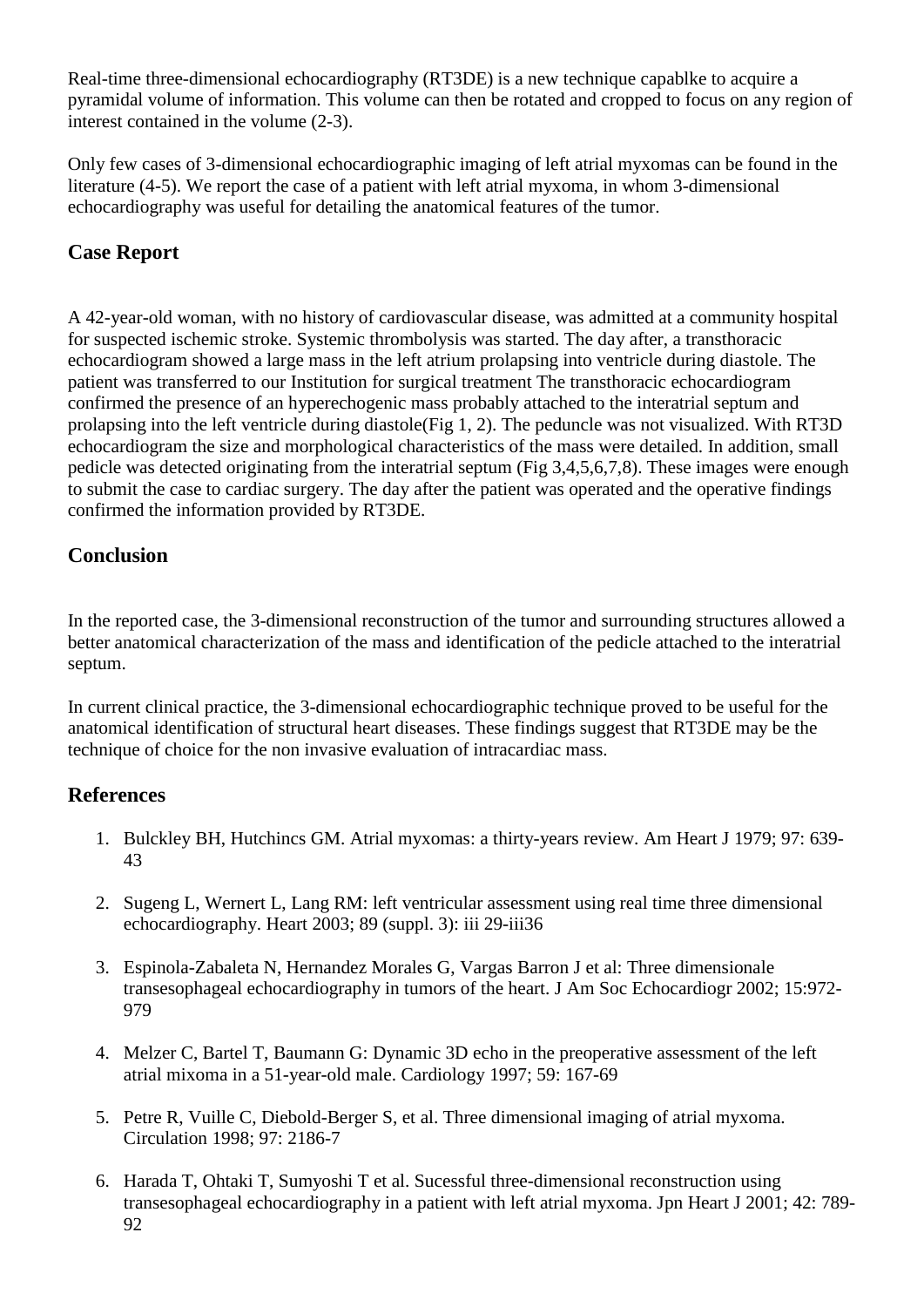Real-time three-dimensional echocardiography (RT3DE) is a new technique capablke to acquire a pyramidal volume of information. This volume can then be rotated and cropped to focus on any region of interest contained in the volume (2-3).

Only few cases of 3-dimensional echocardiographic imaging of left atrial myxomas can be found in the literature (4-5). We report the case of a patient with left atrial myxoma, in whom 3-dimensional echocardiography was useful for detailing the anatomical features of the tumor.

# **Case Report**

A 42-year-old woman, with no history of cardiovascular disease, was admitted at a community hospital for suspected ischemic stroke. Systemic thrombolysis was started. The day after, a transthoracic echocardiogram showed a large mass in the left atrium prolapsing into ventricle during diastole. The patient was transferred to our Institution for surgical treatment The transthoracic echocardiogram confirmed the presence of an hyperechogenic mass probably attached to the interatrial septum and prolapsing into the left ventricle during diastole(Fig 1, 2). The peduncle was not visualized. With RT3D echocardiogram the size and morphological characteristics of the mass were detailed. In addition, small pedicle was detected originating from the interatrial septum (Fig 3,4,5,6,7,8). These images were enough to submit the case to cardiac surgery. The day after the patient was operated and the operative findings confirmed the information provided by RT3DE.

# **Conclusion**

In the reported case, the 3-dimensional reconstruction of the tumor and surrounding structures allowed a better anatomical characterization of the mass and identification of the pedicle attached to the interatrial septum.

In current clinical practice, the 3-dimensional echocardiographic technique proved to be useful for the anatomical identification of structural heart diseases. These findings suggest that RT3DE may be the technique of choice for the non invasive evaluation of intracardiac mass.

#### **References**

- 1. Bulckley BH, Hutchincs GM. Atrial myxomas: a thirty-years review. Am Heart J 1979; 97: 639- 43
- 2. Sugeng L, Wernert L, Lang RM: left ventricular assessment using real time three dimensional echocardiography. Heart 2003; 89 (suppl. 3): iii 29-iii36
- 3. Espinola-Zabaleta N, Hernandez Morales G, Vargas Barron J et al: Three dimensionale transesophageal echocardiography in tumors of the heart. J Am Soc Echocardiogr 2002; 15:972- 979
- 4. Melzer C, Bartel T, Baumann G: Dynamic 3D echo in the preoperative assessment of the left atrial mixoma in a 51-year-old male. Cardiology 1997; 59: 167-69
- 5. Petre R, Vuille C, Diebold-Berger S, et al. Three dimensional imaging of atrial myxoma. Circulation 1998; 97: 2186-7
- 6. Harada T, Ohtaki T, Sumyoshi T et al. Sucessful three-dimensional reconstruction using transesophageal echocardiography in a patient with left atrial myxoma. Jpn Heart J 2001; 42: 789- 92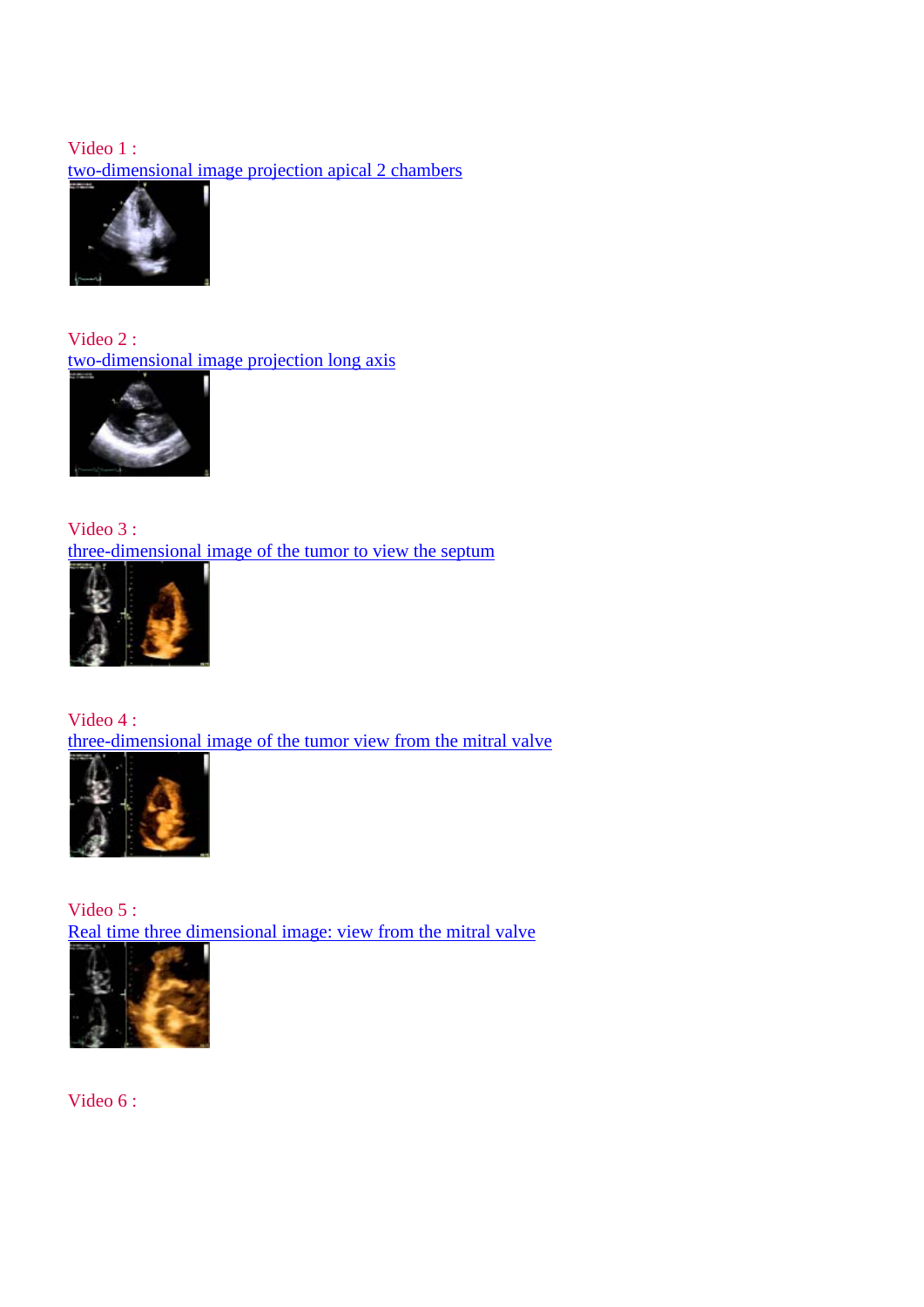# Video 1 : [two-dimensional image projection apical 2 chambers](http://www.youtube.com/watch?v=As3Qaj5dVlg)



Video 2 : [two-dimensional image projection long axis](http://www.youtube.com/watch?v=-HdfCCKOIEo)



Video 3 : [three-dimensional image of the tumor to view the septum](http://www.youtube.com/watch?v=ga_pJqvRNqw)



Video 4 : [three-dimensional image of the tumor view from the mitral valve](http://www.youtube.com/watch?v=oemW5Qk8AcU)



Video 5 : Real time three dimensional image: view from the mitral valve



Video 6 :